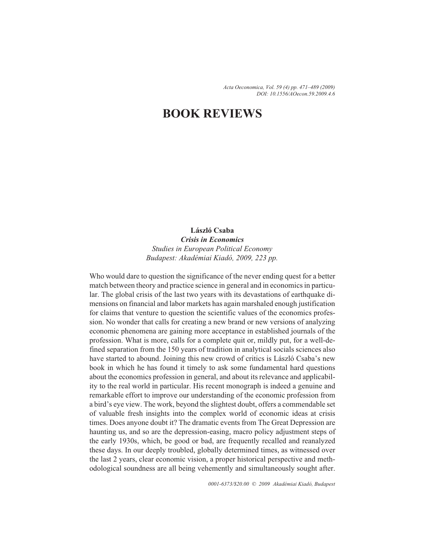*Acta Oeconomica, Vol. 59 (4) pp. 471–489 (2009) DOI: 10.1556/AOecon.59.2009.4.6*

# **BOOK REVIEWS**

## **László Csaba**

*Crisis in Economics Studies in European Political Economy Budapest: Akadémiai Kiadó, 2009, 223 pp.*

Who would dare to question the significance of the never ending quest for a better match between theory and practice science in general and in economics in particular. The global crisis of the last two years with its devastations of earthquake dimensions on financial and labor markets has again marshaled enough justification for claims that venture to question the scientific values of the economics profession. No wonder that calls for creating a new brand or new versions of analyzing economic phenomena are gaining more acceptance in established journals of the profession. What is more, calls for a complete quit or, mildly put, for a well-defined separation from the 150 years of tradition in analytical socials sciences also have started to abound. Joining this new crowd of critics is László Csaba's new book in which he has found it timely to ask some fundamental hard questions about the economics profession in general, and about its relevance and applicability to the real world in particular. His recent monograph is indeed a genuine and remarkable effort to improve our understanding of the economic profession from a bird's eye view. The work, beyond the slightest doubt, offers a commendable set of valuable fresh insights into the complex world of economic ideas at crisis times. Does anyone doubt it? The dramatic events from The Great Depression are haunting us, and so are the depression-easing, macro policy adjustment steps of the early 1930s, which, be good or bad, are frequently recalled and reanalyzed these days. In our deeply troubled, globally determined times, as witnessed over the last 2 years, clear economic vision, a proper historical perspective and methodological soundness are all being vehemently and simultaneously sought after.

*0001-6373/\$20.00 © 2009 Akadémiai Kiadó, Budapest*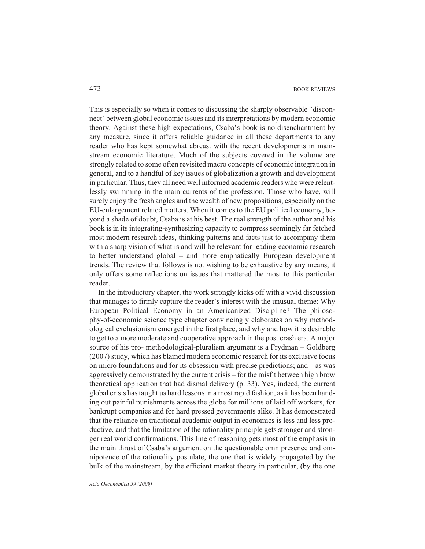This is especially so when it comes to discussing the sharply observable "disconnect' between global economic issues and its interpretations by modern economic theory. Against these high expectations, Csaba's book is no disenchantment by any measure, since it offers reliable guidance in all these departments to any reader who has kept somewhat abreast with the recent developments in mainstream economic literature. Much of the subjects covered in the volume are strongly related to some often revisited macro concepts of economic integration in general, and to a handful of key issues of globalization a growth and development in particular. Thus, they all need well informed academic readers who were relentlessly swimming in the main currents of the profession. Those who have, will surely enjoy the fresh angles and the wealth of new propositions, especially on the EU-enlargement related matters. When it comes to the EU political economy, beyond a shade of doubt, Csaba is at his best. The real strength of the author and his book is in its integrating-synthesizing capacity to compress seemingly far fetched most modern research ideas, thinking patterns and facts just to accompany them with a sharp vision of what is and will be relevant for leading economic research to better understand global – and more emphatically European development trends. The review that follows is not wishing to be exhaustive by any means, it only offers some reflections on issues that mattered the most to this particular reader.

In the introductory chapter, the work strongly kicks off with a vivid discussion that manages to firmly capture the reader's interest with the unusual theme: Why European Political Economy in an Americanized Discipline? The philosophy-of-economic science type chapter convincingly elaborates on why methodological exclusionism emerged in the first place, and why and how it is desirable to get to a more moderate and cooperative approach in the post crash era. A major source of his pro- methodological-pluralism argument is a Frydman – Goldberg (2007) study, which has blamed modern economic research for its exclusive focus on micro foundations and for its obsession with precise predictions; and – as was aggressively demonstrated by the current crisis – for the misfit between high brow theoretical application that had dismal delivery (p. 33). Yes, indeed, the current global crisis has taught us hard lessons in a most rapid fashion, as it has been handing out painful punishments across the globe for millions of laid off workers, for bankrupt companies and for hard pressed governments alike. It has demonstrated that the reliance on traditional academic output in economics is less and less productive, and that the limitation of the rationality principle gets stronger and stronger real world confirmations. This line of reasoning gets most of the emphasis in the main thrust of Csaba's argument on the questionable omnipresence and omnipotence of the rationality postulate, the one that is widely propagated by the bulk of the mainstream, by the efficient market theory in particular, (by the one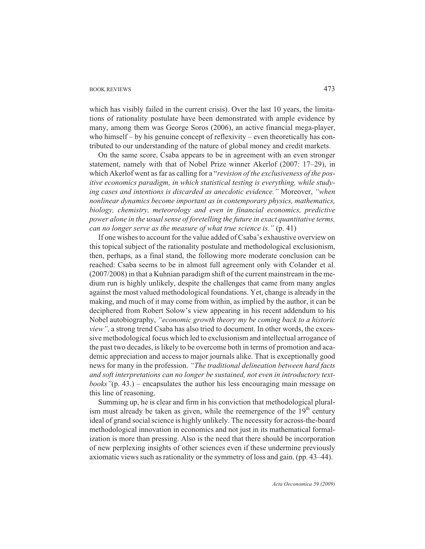### BOOK REVIEWS 473

which has visibly failed in the current crisis). Over the last 10 years, the limitations of rationality postulate have been demonstrated with ample evidence by many, among them was George Soros (2006), an active financial mega-player, who himself – by his genuine concept of reflexivity – even theoretically has contributed to our understanding of the nature of global money and credit markets.

On the same score, Csaba appears to be in agreement with an even stronger statement, namely with that of Nobel Prize winner Akerlof (2007: 17–29), in which Akerlof went as far as calling for a "*revision of the exclusiveness of the positive economics paradigm, in which statistical testing is everything, while studying cases and intentions is discarded as anecdotic evidence."* Moreover, *"when nonlinear dynamics become important as in contemporary physics, mathematics, biology, chemistry, meteorology and even in financial economics, predictive power alone in the usual sense of foretelling the future in exact quantitative terms, can no longer serve as the measure of what true science is."* (p. 41)

If one wishes to account for the value added of Csaba's exhaustive overview on this topical subject of the rationality postulate and methodological exclusionism, then, perhaps, as a final stand, the following more moderate conclusion can be reached: Csaba seems to be in almost full agreement only with Colander et al. (2007/2008) in that a Kuhnian paradigm shift of the current mainstream in the medium run is highly unlikely, despite the challenges that came from many angles against the most valued methodological foundations. Yet, change is already in the making, and much of it may come from within, as implied by the author, it can be deciphered from Robert Solow's view appearing in his recent addendum to his Nobel autobiography, *"economic growth theory my be coming back to a historic view",* a strong trend Csaba has also tried to document. In other words, the excessive methodological focus which led to exclusionism and intellectual arrogance of the past two decades, is likely to be overcome both in terms of promotion and academic appreciation and access to major journals alike. That is exceptionally good news for many in the profession. *"The traditional delineation between hard facts and soft interpretations can no longer be sustained, not even in introductory textbooks"*(p. 43.) – encapsulates the author his less encouraging main message on this line of reasoning.

Summing up, he is clear and firm in his conviction that methodological pluralism must already be taken as given, while the reemergence of the  $19<sup>th</sup>$  century ideal of grand social science is highly unlikely. The necessity for across-the-board methodological innovation in economics and not just in its mathematical formalization is more than pressing. Also is the need that there should be incorporation of new perplexing insights of other sciences even if these undermine previously axiomatic views such as rationality or the symmetry of loss and gain. (pp. 43–44).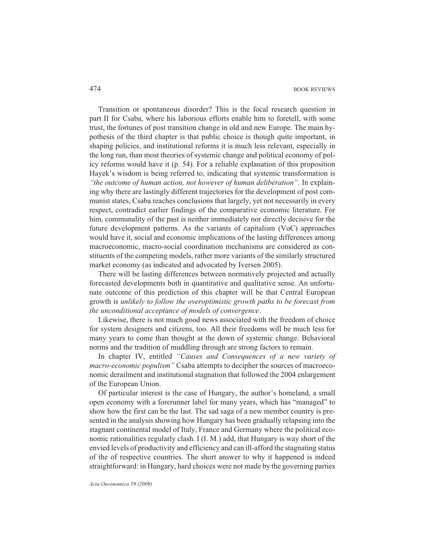Transition or spontaneous disorder? This is the focal research question in part II for Csaba, where his laborious efforts enable him to foretell, with some trust, the fortunes of post transition change in old and new Europe. The main hypothesis of the third chapter is that public choice is though quite important, in shaping policies, and institutional reforms it is much less relevant, especially in the long run, than most theories of systemic change and political economy of policy reforms would have it (p. 54). For a reliable explanation of this proposition Hayek's wisdom is being referred to, indicating that systemic transformation is *"the outcome of human action, not however of human deliberation".* In explaining why there are lastingly different trajectories for the development of post communist states, Csaba reaches conclusions that largely, yet not necessarily in every respect, contradict earlier findings of the comparative economic literature. For him, communality of the past is neither immediately nor directly decisive for the future development patterns. As the variants of capitalism (VoC) approaches would have it, social and economic implications of the lasting differences among macroeconomic, macro-social coordination mechanisms are considered as constituents of the competing models, rather more variants of the similarly structured market economy (as indicated and advocated by Iversen 2005).

There will be lasting differences between normatively projected and actually forecasted developments both in quantitative and qualitative sense. An unfortunate outcome of this prediction of this chapter will be that Central European growth is *unlikely to follow the overoptimistic growth paths to be forecast from the unconditional acceptance of models of convergence*.

Likewise, there is not much good news associated with the freedom of choice for system designers and citizens, too. All their freedoms will be much less for many years to come than thought at the down of systemic change. Behavioral norms and the tradition of muddling through are strong factors to remain.

In chapter IV, entitled *"Causes and Consequences of a new variety of macro-economic populism"* Csaba attempts to decipher the sources of macroeconomic derailment and institutional stagnation that followed the 2004 enlargement of the European Union.

Of particular interest is the case of Hungary, the author's homeland, a small open economy with a forerunner label for many years, which has "managed" to show how the first can be the last. The sad saga of a new member country is presented in the analysis showing how Hungary has been gradually relapsing into the stagnant continental model of Italy, France and Germany where the political economic rationalities regularly clash. I (I. M.) add, that Hungary is way short of the envied levels of productivity and efficiency and can ill-afford the stagnating status of the of respective countries. The short answer to why it happened is indeed straightforward: in Hungary, hard choices were not made by the governing parties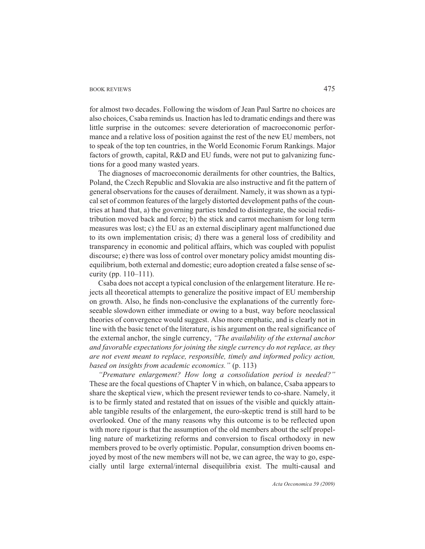### BOOK REVIEWS 475

for almost two decades. Following the wisdom of Jean Paul Sartre no choices are also choices, Csaba reminds us. Inaction has led to dramatic endings and there was little surprise in the outcomes: severe deterioration of macroeconomic performance and a relative loss of position against the rest of the new EU members, not to speak of the top ten countries, in the World Economic Forum Rankings. Major factors of growth, capital, R&D and EU funds, were not put to galvanizing functions for a good many wasted years.

The diagnoses of macroeconomic derailments for other countries, the Baltics, Poland, the Czech Republic and Slovakia are also instructive and fit the pattern of general observations for the causes of derailment. Namely, it was shown as a typical set of common features of the largely distorted development paths of the countries at hand that, a) the governing parties tended to disintegrate, the social redistribution moved back and force; b) the stick and carrot mechanism for long term measures was lost; c) the EU as an external disciplinary agent malfunctioned due to its own implementation crisis; d) there was a general loss of credibility and transparency in economic and political affairs, which was coupled with populist discourse; e) there was loss of control over monetary policy amidst mounting disequilibrium, both external and domestic; euro adoption created a false sense of security (pp. 110–111).

Csaba does not accept a typical conclusion of the enlargement literature. He rejects all theoretical attempts to generalize the positive impact of EU membership on growth. Also, he finds non-conclusive the explanations of the currently foreseeable slowdown either immediate or owing to a bust, way before neoclassical theories of convergence would suggest. Also more emphatic, and is clearly not in line with the basic tenet of the literature, is his argument on the real significance of the external anchor, the single currency, *"The availability of the external anchor and favorable expectations for joining the single currency do not replace, as they are not event meant to replace, responsible, timely and informed policy action, based on insights from academic economics."* (p. 113)

*"Premature enlargement? How long a consolidation period is needed?"* These are the focal questions of Chapter V in which, on balance, Csaba appears to share the skeptical view, which the present reviewer tends to co-share. Namely, it is to be firmly stated and restated that on issues of the visible and quickly attainable tangible results of the enlargement, the euro-skeptic trend is still hard to be overlooked. One of the many reasons why this outcome is to be reflected upon with more rigour is that the assumption of the old members about the self propelling nature of marketizing reforms and conversion to fiscal orthodoxy in new members proved to be overly optimistic. Popular, consumption driven booms enjoyed by most of the new members will not be, we can agree, the way to go, especially until large external/internal disequilibria exist. The multi-causal and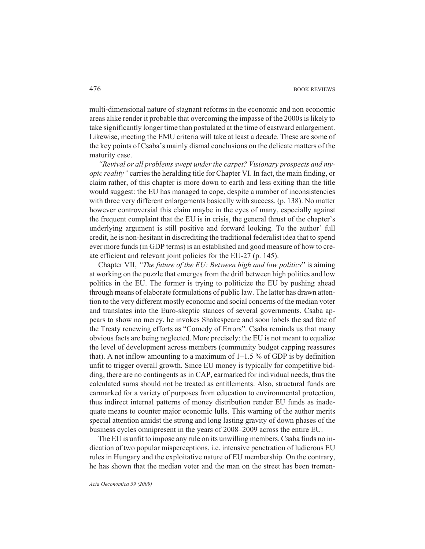multi-dimensional nature of stagnant reforms in the economic and non economic areas alike render it probable that overcoming the impasse of the 2000s is likely to take significantly longer time than postulated at the time of eastward enlargement. Likewise, meeting the EMU criteria will take at least a decade. These are some of the key points of Csaba's mainly dismal conclusions on the delicate matters of the maturity case.

*"Revival or all problems swept under the carpet? Visionary prospects and myopic reality"* carries the heralding title for Chapter VI. In fact, the main finding, or claim rather, of this chapter is more down to earth and less exiting than the title would suggest: the EU has managed to cope, despite a number of inconsistencies with three very different enlargements basically with success. (p. 138). No matter however controversial this claim maybe in the eyes of many, especially against the frequent complaint that the EU is in crisis, the general thrust of the chapter's underlying argument is still positive and forward looking. To the author' full credit, he is non-hesitant in discrediting the traditional federalist idea that to spend ever more funds (in GDP terms) is an established and good measure of how to create efficient and relevant joint policies for the EU-27 (p. 145).

Chapter VII, *"The future of the EU: Between high and low politics*" is aiming at working on the puzzle that emerges from the drift between high politics and low politics in the EU. The former is trying to politicize the EU by pushing ahead through means of elaborate formulations of public law. The latter has drawn attention to the very different mostly economic and social concerns of the median voter and translates into the Euro-skeptic stances of several governments. Csaba appears to show no mercy, he invokes Shakespeare and soon labels the sad fate of the Treaty renewing efforts as "Comedy of Errors". Csaba reminds us that many obvious facts are being neglected. More precisely: the EU is not meant to equalize the level of development across members (community budget capping reassures that). A net inflow amounting to a maximum of  $1-1.5\%$  of GDP is by definition unfit to trigger overall growth. Since EU money is typically for competitive bidding, there are no contingents as in CAP, earmarked for individual needs, thus the calculated sums should not be treated as entitlements. Also, structural funds are earmarked for a variety of purposes from education to environmental protection, thus indirect internal patterns of money distribution render EU funds as inadequate means to counter major economic lulls. This warning of the author merits special attention amidst the strong and long lasting gravity of down phases of the business cycles omnipresent in the years of 2008–2009 across the entire EU.

The EU is unfit to impose any rule on its unwilling members. Csaba finds no indication of two popular misperceptions, i.e. intensive penetration of ludicrous EU rules in Hungary and the exploitative nature of EU membership. On the contrary, he has shown that the median voter and the man on the street has been tremen-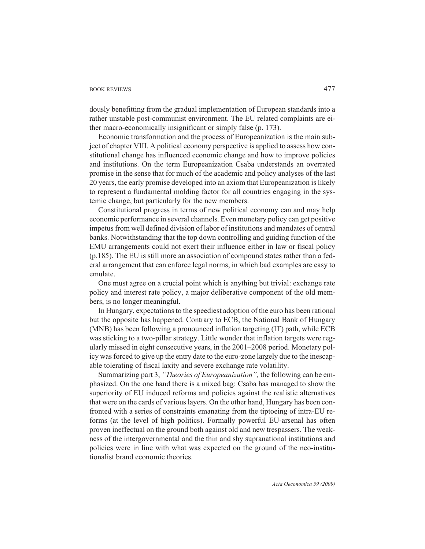### BOOK REVIEWS 477

dously benefitting from the gradual implementation of European standards into a rather unstable post-communist environment. The EU related complaints are either macro-economically insignificant or simply false (p. 173).

Economic transformation and the process of Europeanization is the main subject of chapter VIII. A political economy perspective is applied to assess how constitutional change has influenced economic change and how to improve policies and institutions. On the term Europeanization Csaba understands an overrated promise in the sense that for much of the academic and policy analyses of the last 20 years, the early promise developed into an axiom that Europeanization is likely to represent a fundamental molding factor for all countries engaging in the systemic change, but particularly for the new members.

Constitutional progress in terms of new political economy can and may help economic performance in several channels. Even monetary policy can get positive impetus from well defined division of labor of institutions and mandates of central banks. Notwithstanding that the top down controlling and guiding function of the EMU arrangements could not exert their influence either in law or fiscal policy (p.185). The EU is still more an association of compound states rather than a federal arrangement that can enforce legal norms, in which bad examples are easy to emulate.

One must agree on a crucial point which is anything but trivial: exchange rate policy and interest rate policy, a major deliberative component of the old members, is no longer meaningful.

In Hungary, expectations to the speediest adoption of the euro has been rational but the opposite has happened. Contrary to ECB, the National Bank of Hungary (MNB) has been following a pronounced inflation targeting (IT) path, while ECB was sticking to a two-pillar strategy. Little wonder that inflation targets were regularly missed in eight consecutive years, in the 2001–2008 period. Monetary policy was forced to give up the entry date to the euro-zone largely due to the inescapable tolerating of fiscal laxity and severe exchange rate volatility.

Summarizing part 3, *"Theories of Europeanization",* the following can be emphasized. On the one hand there is a mixed bag: Csaba has managed to show the superiority of EU induced reforms and policies against the realistic alternatives that were on the cards of various layers. On the other hand, Hungary has been confronted with a series of constraints emanating from the tiptoeing of intra-EU reforms (at the level of high politics). Formally powerful EU-arsenal has often proven ineffectual on the ground both against old and new trespassers. The weakness of the intergovernmental and the thin and shy supranational institutions and policies were in line with what was expected on the ground of the neo-institutionalist brand economic theories.